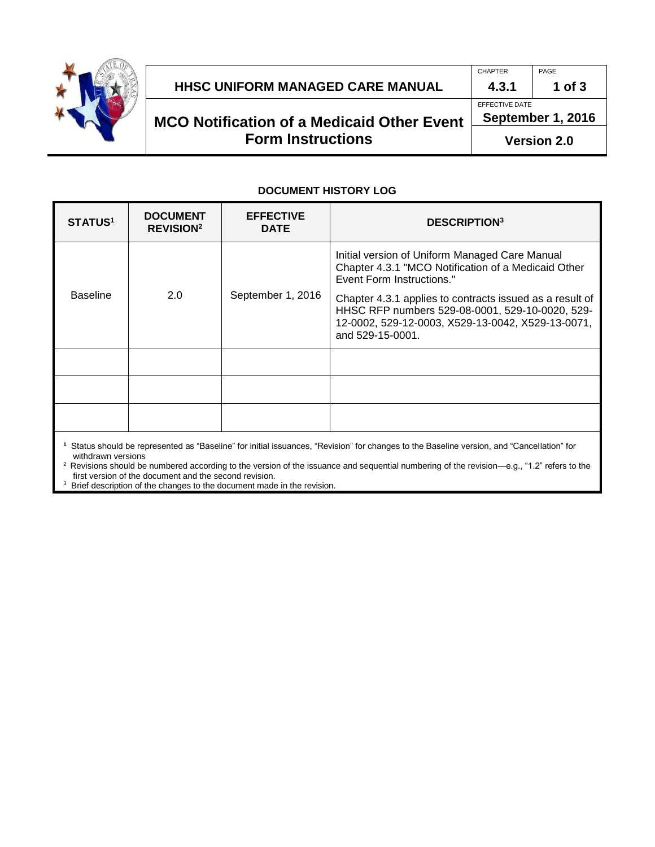

#### **HHSC UNIFORM MANAGED CARE MANUAL 4.3.1 1 of 3**

# **MCO Notification of a Medicaid Other Event Form Instructions**

CHAPTER PAGE

EFFECTIVE DATE

**September 1, 2016**

**Version 2.0**

#### **DOCUMENT HISTORY LOG**

| <b>STATUS<sup>1</sup></b> | <b>DOCUMENT</b><br><b>REVISION<sup>2</sup></b> | <b>EFFECTIVE</b><br><b>DATE</b> | <b>DESCRIPTION3</b>                                                                                                                                                                  |
|---------------------------|------------------------------------------------|---------------------------------|--------------------------------------------------------------------------------------------------------------------------------------------------------------------------------------|
| <b>Baseline</b>           | 2.0                                            | September 1, 2016               | Initial version of Uniform Managed Care Manual<br>Chapter 4.3.1 "MCO Notification of a Medicaid Other<br>Event Form Instructions."                                                   |
|                           |                                                |                                 | Chapter 4.3.1 applies to contracts issued as a result of<br>HHSC RFP numbers 529-08-0001, 529-10-0020, 529-<br>12-0002, 529-12-0003, X529-13-0042, X529-13-0071,<br>and 529-15-0001. |
|                           |                                                |                                 |                                                                                                                                                                                      |
|                           |                                                |                                 |                                                                                                                                                                                      |
|                           |                                                |                                 |                                                                                                                                                                                      |

**1** Status should be represented as "Baseline" for initial issuances, "Revision" for changes to the Baseline version, and "Cancellation" for withdrawn versions

2 Revisions should be numbered according to the version of the issuance and sequential numbering of the revision—e.g., "1.2" refers to the first version of the document and the second revision.

<sup>3</sup> Brief description of the changes to the document made in the revision.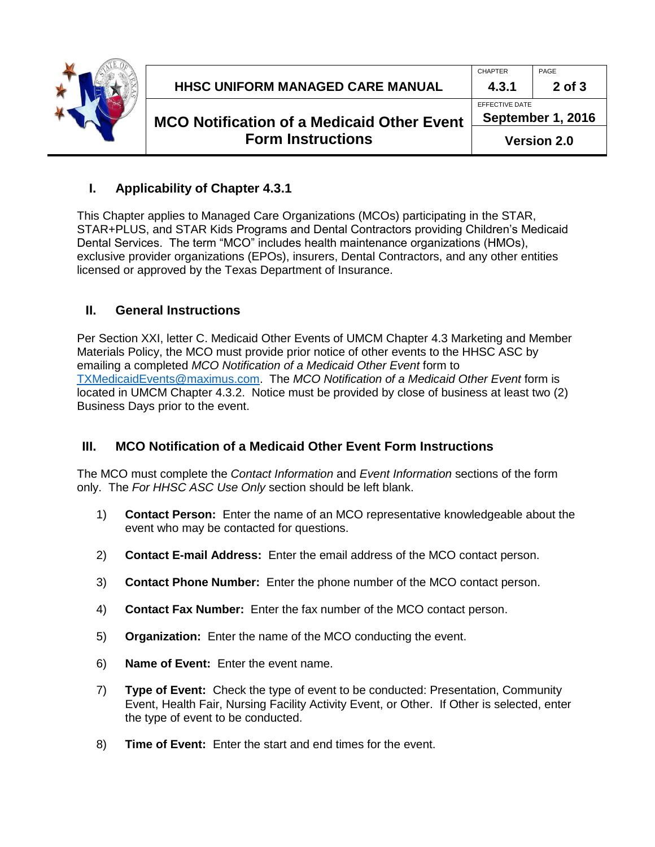

**September 1, 2016**

**Version 2.0**

### **I. Applicability of Chapter 4.3.1**

This Chapter applies to Managed Care Organizations (MCOs) participating in the STAR, STAR+PLUS, and STAR Kids Programs and Dental Contractors providing Children's Medicaid Dental Services. The term "MCO" includes health maintenance organizations (HMOs), exclusive provider organizations (EPOs), insurers, Dental Contractors, and any other entities licensed or approved by the Texas Department of Insurance.

#### **II. General Instructions**

Per Section XXI, letter C. Medicaid Other Events of UMCM Chapter 4.3 Marketing and Member Materials Policy, the MCO must provide prior notice of other events to the HHSC ASC by emailing a completed *MCO Notification of a Medicaid Other Event* form to [TXMedicaidEvents@maximus.com.](mailto:TXMedicaidEvents@maximus.com) The *MCO Notification of a Medicaid Other Event* form is located in UMCM Chapter 4.3.2. Notice must be provided by close of business at least two (2) Business Days prior to the event.

## **III. MCO Notification of a Medicaid Other Event Form Instructions**

The MCO must complete the *Contact Information* and *Event Information* sections of the form only. The *For HHSC ASC Use Only* section should be left blank.

- 1) **Contact Person:** Enter the name of an MCO representative knowledgeable about the event who may be contacted for questions.
- 2) **Contact E-mail Address:** Enter the email address of the MCO contact person.
- 3) **Contact Phone Number:** Enter the phone number of the MCO contact person.
- 4) **Contact Fax Number:** Enter the fax number of the MCO contact person.
- 5) **Organization:** Enter the name of the MCO conducting the event.
- 6) **Name of Event:** Enter the event name.
- 7) **Type of Event:** Check the type of event to be conducted: Presentation, Community Event, Health Fair, Nursing Facility Activity Event, or Other. If Other is selected, enter the type of event to be conducted.
- 8) **Time of Event:** Enter the start and end times for the event.